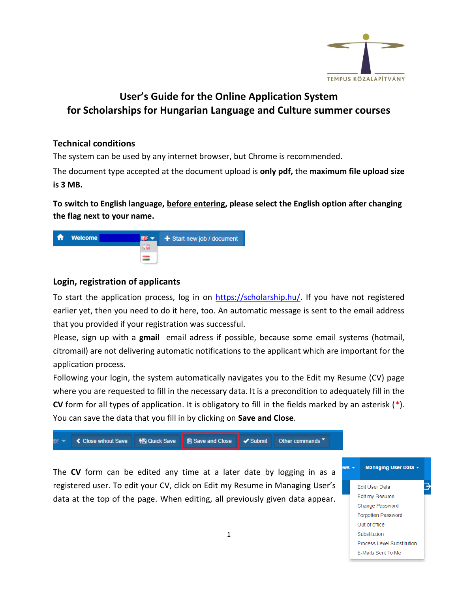

## **User's Guide for the Online Application System for Scholarships for Hungarian Language and Culture summer courses**

## **Technical conditions**

The system can be used by any internet browser, but Chrome is recommended.

The document type accepted at the document upload is **only pdf,** the **maximum file upload size is 3 MB.**

**To switch to English language, before entering, please select the English option after changing the flag next to your name.**



## **Login, registration of applicants**

To start the application process, log in on [https://scholarship.hu/.](https://scholarship.hu/) If you have not registered earlier yet, then you need to do it here, too. An automatic message is sent to the email address that you provided if your registration was successful.

Please, sign up with a **gmail** email adress if possible, because some email systems (hotmail, citromail) are not delivering automatic notifications to the applicant which are important for the application process.

Following your login, the system automatically navigates you to the Edit my Resume (CV) page where you are requested to fill in the necessary data. It is a precondition to adequately fill in the **CV** form for all types of application. It is obligatory to fill in the fields marked by an asterisk (\*). You can save the data that you fill in by clicking on **Save and Close**.

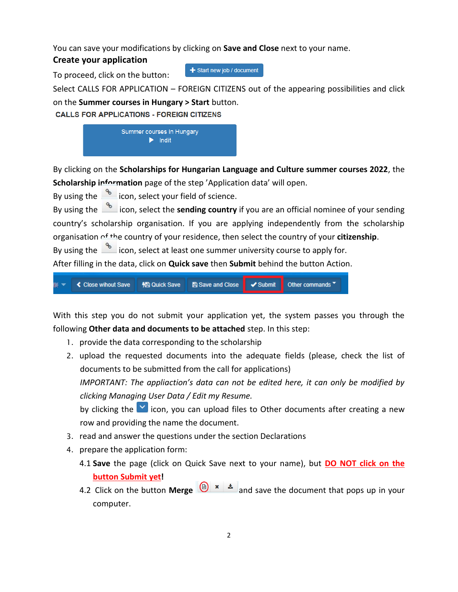You can save your modifications by clicking on **Save and Close** next to your name.

## **Create your application**

To proceed, click on the button:

+ Start new job / document

Select CALLS FOR APPLICATION – FOREIGN CITIZENS out of the appearing possibilities and click on the **Summer courses in Hungary > Start** button.

**CALLS FOR APPLICATIONS - FOREIGN CITIZENS** 



By clicking on the **Scholarships for Hungarian Language and Culture summer courses 2022**, the Scholarship information page of the step 'Application data' will open.

By using the  $\frac{1}{2}$  icon, select your field of science.

By using the **incom** icon, select the **sending country** if you are an official nominee of your sending country's scholarship organisation. If you are applying independently from the scholarship organisation of the country of your residence, then select the country of your **citizenship**.

By using the  $\frac{1}{\sqrt{2}}$  icon, select at least one summer university course to apply for.

After filling in the data, click on **Quick save** then **Submit** behind the button Action.



With this step you do not submit your application yet, the system passes you through the following **Other data and documents to be attached** step. In this step:

- 1. provide the data corresponding to the scholarship
- 2. upload the requested documents into the adequate fields (please, check the list of documents to be submitted from the call for applications) *IMPORTANT: The appliaction's data can not be edited here, it can only be modified by clicking Managing User Data / Edit my Resume.* by clicking the  $\vee$  icon, you can upload files to Other documents after creating a new row and providing the name the document.
- 3. read and answer the questions under the section Declarations
- 4. prepare the application form:
	- 4.1 **Save** the page (click on Quick Save next to your name), but **DO NOT click on the button Submit yet!**
	- 4.2 Click on the button **Merge**  $\left(\bigoplus_{n=1}^{\infty} x \right]$  and save the document that pops up in your computer.